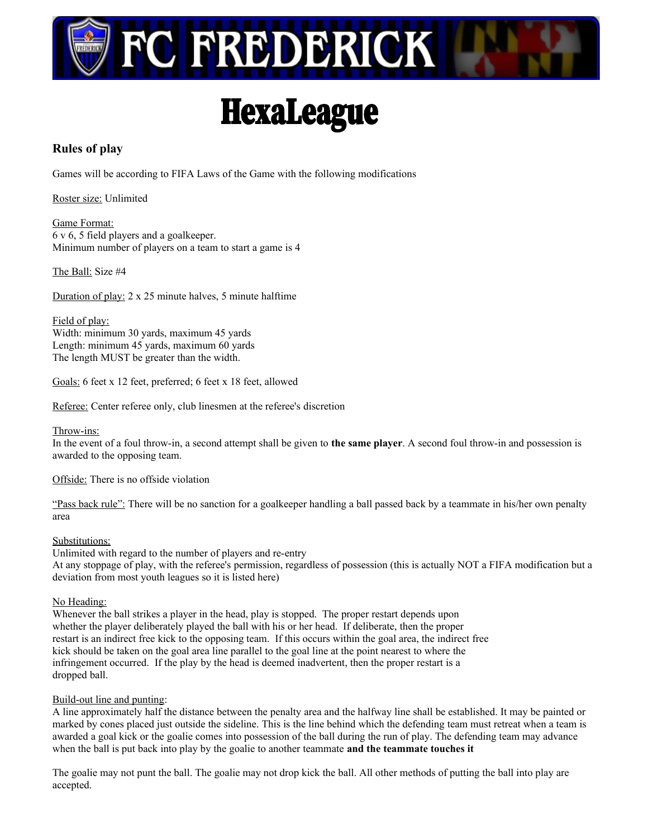

# **HexaLeague**

### **Rules of play**

Games will be according to FIFA Laws of the Game with the following modifications

Roster size: Unlimited

Game Format: 6 v 6, 5 field players and a goalkeeper. Minimum number of players on a team to start a game is 4

The Ball: Size #4

Duration of play: 2 x 25 minute halves, 5 minute halftime

Field of play: Width: minimum 30 yards, maximum 45 yards Length: minimum 45 yards, maximum 60 yards The length MUST be greater than the width.

Goals: 6 feet x 12 feet, preferred; 6 feet x 18 feet, allowed

Referee: Center referee only, club linesmen at the referee's discretion

#### Throw-ins:

In the event of a foul throw-in, a second attempt shall be given to **the same player**. A second foul throw-in and possession is awarded to the opposing team.

Offside: There is no offside violation

"Pass back rule": There will be no sanction for a goalkeeper handling a ball passed back by a teammate in his/her own penalty area

#### Substitutions:

Unlimited with regard to the number of players and re-entry At any stoppage of play, with the referee's permission, regardless of possession (this is actually NOT a FIFA modification but a deviation from most youth leagues so it is listed here)

#### No Heading:

Whenever the ball strikes a player in the head, play is stopped. The proper restart depends upon whether the player deliberately played the ball with his or her head. If deliberate, then the proper restart is an indirect free kick to the opposing team. If this occurs within the goal area, the indirect free kick should be taken on the goal area line parallel to the goal line at the point nearest to where the infringement occurred. If the play by the head is deemed inadvertent, then the proper restart is a dropped ball.

#### Build-out line and punting:

A line approximately half the distance between the penalty area and the halfway line shall be established. It may be painted or marked by cones placed just outside the sideline. This is the line behind which the defending team must retreat when a team is awarded a goal kick or the goalie comes into possession of the ball during the run of play. The defending team may advance when the ball is put back into play by the goalie to another teammate **and the teammate touches it**

The goalie may not punt the ball. The goalie may not drop kick the ball. All other methods of putting the ball into play are accepted.